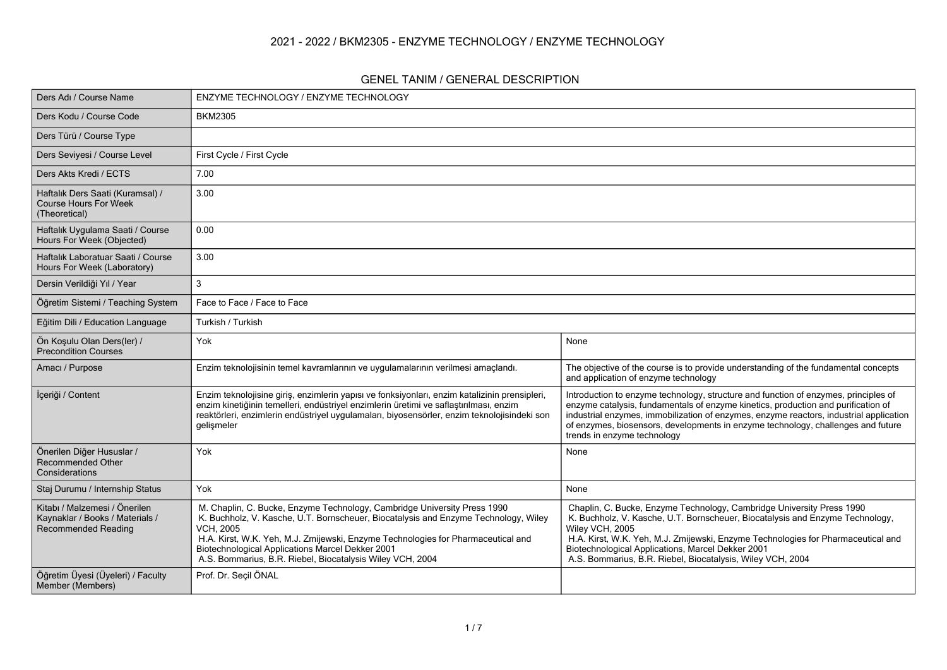#### **2021 - 2022 / BKM2305 - ENZYME TECHNOLOGY / ENZYME TECHNOLOGY**

#### **GENEL TANIM / GENERAL DESCRIPTION**

| Ders Adı / Course Name                                                                         | ENZYME TECHNOLOGY / ENZYME TECHNOLOGY                                                                                                                                                                                                                                                                                                                                                    |                                                                                                                                                                                                                                                                                                                                                                                       |
|------------------------------------------------------------------------------------------------|------------------------------------------------------------------------------------------------------------------------------------------------------------------------------------------------------------------------------------------------------------------------------------------------------------------------------------------------------------------------------------------|---------------------------------------------------------------------------------------------------------------------------------------------------------------------------------------------------------------------------------------------------------------------------------------------------------------------------------------------------------------------------------------|
| Ders Kodu / Course Code                                                                        | <b>BKM2305</b>                                                                                                                                                                                                                                                                                                                                                                           |                                                                                                                                                                                                                                                                                                                                                                                       |
| Ders Türü / Course Type                                                                        |                                                                                                                                                                                                                                                                                                                                                                                          |                                                                                                                                                                                                                                                                                                                                                                                       |
| Ders Seviyesi / Course Level                                                                   | First Cycle / First Cycle                                                                                                                                                                                                                                                                                                                                                                |                                                                                                                                                                                                                                                                                                                                                                                       |
| Ders Akts Kredi / ECTS                                                                         | 7.00                                                                                                                                                                                                                                                                                                                                                                                     |                                                                                                                                                                                                                                                                                                                                                                                       |
| Haftalık Ders Saati (Kuramsal) /<br>Course Hours For Week<br>(Theoretical)                     | 3.00                                                                                                                                                                                                                                                                                                                                                                                     |                                                                                                                                                                                                                                                                                                                                                                                       |
| Haftalık Uygulama Saati / Course<br>Hours For Week (Objected)                                  | 0.00                                                                                                                                                                                                                                                                                                                                                                                     |                                                                                                                                                                                                                                                                                                                                                                                       |
| Haftalık Laboratuar Saati / Course<br>Hours For Week (Laboratory)                              | 3.00                                                                                                                                                                                                                                                                                                                                                                                     |                                                                                                                                                                                                                                                                                                                                                                                       |
| Dersin Verildiği Yıl / Year                                                                    | 3                                                                                                                                                                                                                                                                                                                                                                                        |                                                                                                                                                                                                                                                                                                                                                                                       |
| Öğretim Sistemi / Teaching System                                                              | Face to Face / Face to Face                                                                                                                                                                                                                                                                                                                                                              |                                                                                                                                                                                                                                                                                                                                                                                       |
| Eğitim Dili / Education Language                                                               | Turkish / Turkish                                                                                                                                                                                                                                                                                                                                                                        |                                                                                                                                                                                                                                                                                                                                                                                       |
| Ön Kosulu Olan Ders(ler) /<br><b>Precondition Courses</b>                                      | Yok                                                                                                                                                                                                                                                                                                                                                                                      | None                                                                                                                                                                                                                                                                                                                                                                                  |
| Amacı / Purpose                                                                                | Enzim teknolojisinin temel kavramlarının ve uygulamalarının verilmesi amaçlandı.                                                                                                                                                                                                                                                                                                         | The objective of the course is to provide understanding of the fundamental concepts<br>and application of enzyme technology                                                                                                                                                                                                                                                           |
| İçeriği / Content                                                                              | Enzim teknolojisine giriş, enzimlerin yapısı ve fonksiyonları, enzim katalizinin prensipleri,<br>enzim kinetiğinin temelleri, endüstriyel enzimlerin üretimi ve saflaştırılması, enzim<br>reaktörleri, enzimlerin endüstriyel uygulamaları, biyosensörler, enzim teknolojisindeki son<br>gelişmeler                                                                                      | Introduction to enzyme technology, structure and function of enzymes, principles of<br>enzyme catalysis, fundamentals of enzyme kinetics, production and purification of<br>industrial enzymes, immobilization of enzymes, enzyme reactors, industrial application<br>of enzymes, biosensors, developments in enzyme technology, challenges and future<br>trends in enzyme technology |
| Önerilen Diğer Hususlar /<br><b>Recommended Other</b><br>Considerations                        | Yok                                                                                                                                                                                                                                                                                                                                                                                      | None                                                                                                                                                                                                                                                                                                                                                                                  |
| Staj Durumu / Internship Status                                                                | Yok                                                                                                                                                                                                                                                                                                                                                                                      | None                                                                                                                                                                                                                                                                                                                                                                                  |
| Kitabı / Malzemesi / Önerilen<br>Kaynaklar / Books / Materials /<br><b>Recommended Reading</b> | M. Chaplin, C. Bucke, Enzyme Technology, Cambridge University Press 1990<br>K. Buchholz, V. Kasche, U.T. Bornscheuer, Biocatalysis and Enzyme Technology, Wiley<br><b>VCH, 2005</b><br>H.A. Kirst, W.K. Yeh, M.J. Zmijewski, Enzyme Technologies for Pharmaceutical and<br>Biotechnological Applications Marcel Dekker 2001<br>A.S. Bommarius, B.R. Riebel, Biocatalysis Wiley VCH, 2004 | Chaplin, C. Bucke, Enzyme Technology, Cambridge University Press 1990<br>K. Buchholz, V. Kasche, U.T. Bornscheuer, Biocatalysis and Enzyme Technology,<br>Wiley VCH, 2005<br>H.A. Kirst, W.K. Yeh, M.J. Zmijewski, Enzyme Technologies for Pharmaceutical and<br>Biotechnological Applications, Marcel Dekker 2001<br>A.S. Bommarius, B.R. Riebel, Biocatalysis, Wiley VCH, 2004      |
| Öğretim Üyesi (Üyeleri) / Faculty<br>Member (Members)                                          | Prof. Dr. Seçil ÖNAL                                                                                                                                                                                                                                                                                                                                                                     |                                                                                                                                                                                                                                                                                                                                                                                       |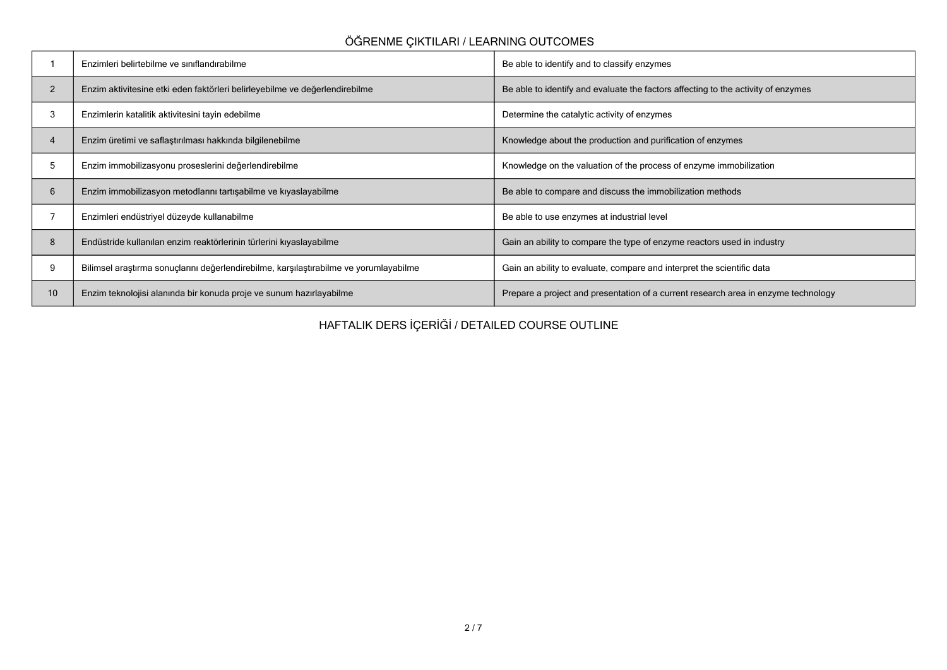# **ÖĞRENME ÇIKTILARI / LEARNING OUTCOMES**

|                 | Enzimleri belirtebilme ve sınıflandırabilme                                           | Be able to identify and to classify enzymes                                        |
|-----------------|---------------------------------------------------------------------------------------|------------------------------------------------------------------------------------|
| $\overline{2}$  | Enzim aktivitesine etki eden faktörleri belirleyebilme ve değerlendirebilme           | Be able to identify and evaluate the factors affecting to the activity of enzymes  |
| 3               | Enzimlerin katalitik aktivitesini tayin edebilme                                      | Determine the catalytic activity of enzymes                                        |
| 4               | Enzim üretimi ve saflaştırılması hakkında bilgilenebilme                              | Knowledge about the production and purification of enzymes                         |
| 5               | Enzim immobilizasyonu proseslerini değerlendirebilme                                  | Knowledge on the valuation of the process of enzyme immobilization                 |
| 6               | Enzim immobilizasyon metodlarını tartışabilme ve kıyaslayabilme                       | Be able to compare and discuss the immobilization methods                          |
|                 | Enzimleri endüstriyel düzeyde kullanabilme                                            | Be able to use enzymes at industrial level                                         |
| 8               | Endüstride kullanılan enzim reaktörlerinin türlerini kıyaslayabilme                   | Gain an ability to compare the type of enzyme reactors used in industry            |
| 9               | Bilimsel araştırma sonuçlarını değerlendirebilme, karşılaştırabilme ve yorumlayabilme | Gain an ability to evaluate, compare and interpret the scientific data             |
| 10 <sup>1</sup> | Enzim teknolojisi alanında bir konuda proje ve sunum hazırlayabilme                   | Prepare a project and presentation of a current research area in enzyme technology |

**HAFTALIK DERS İÇERİĞİ / DETAILED COURSE OUTLINE**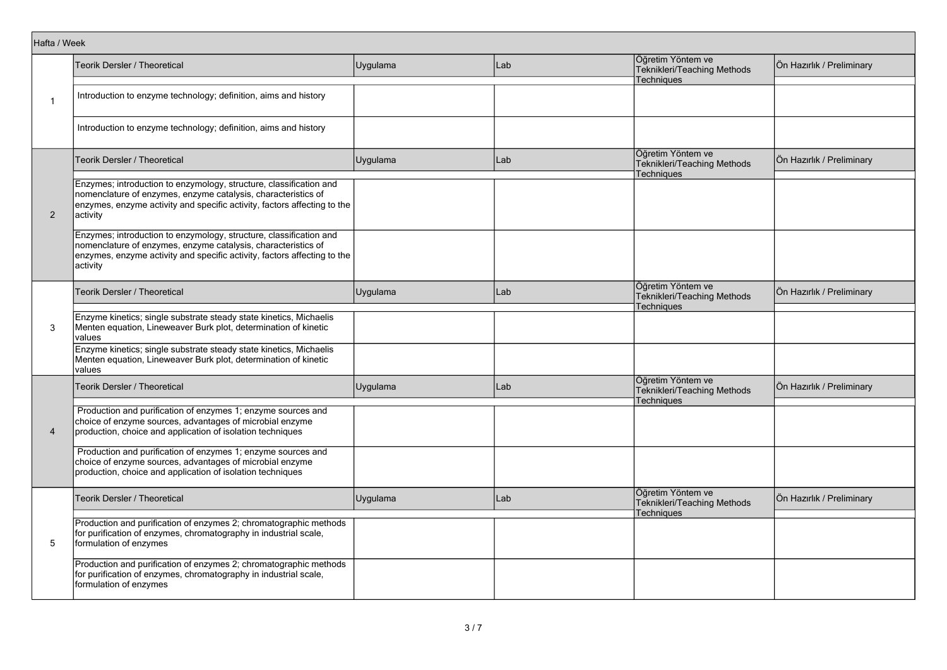| Hafta / Week   |                                                                                                                                                                                                                             |          |     |                                                                       |                           |
|----------------|-----------------------------------------------------------------------------------------------------------------------------------------------------------------------------------------------------------------------------|----------|-----|-----------------------------------------------------------------------|---------------------------|
|                | Teorik Dersler / Theoretical                                                                                                                                                                                                | Uygulama | Lab | Öğretim Yöntem ve<br>Teknikleri/Teaching Methods<br><b>Techniques</b> | Ön Hazırlık / Preliminary |
| $\mathbf{1}$   | Introduction to enzyme technology; definition, aims and history                                                                                                                                                             |          |     |                                                                       |                           |
|                | Introduction to enzyme technology; definition, aims and history                                                                                                                                                             |          |     |                                                                       |                           |
|                | Teorik Dersler / Theoretical                                                                                                                                                                                                | Uygulama | Lab | Öğretim Yöntem ve<br>Teknikleri/Teaching Methods<br><b>Techniques</b> | Ön Hazırlık / Preliminary |
| $\overline{2}$ | Enzymes; introduction to enzymology, structure, classification and<br>nomenclature of enzymes, enzyme catalysis, characteristics of<br>enzymes, enzyme activity and specific activity, factors affecting to the<br>activity |          |     |                                                                       |                           |
|                | Enzymes; introduction to enzymology, structure, classification and<br>nomenclature of enzymes, enzyme catalysis, characteristics of<br>enzymes, enzyme activity and specific activity, factors affecting to the<br>activity |          |     |                                                                       |                           |
|                | Teorik Dersler / Theoretical                                                                                                                                                                                                | Uygulama | Lab | Öğretim Yöntem ve<br>Teknikleri/Teaching Methods<br><b>Techniques</b> | Ön Hazırlık / Preliminary |
| 3              | Enzyme kinetics; single substrate steady state kinetics, Michaelis<br>Menten equation, Lineweaver Burk plot, determination of kinetic<br>values                                                                             |          |     |                                                                       |                           |
|                | Enzyme kinetics; single substrate steady state kinetics, Michaelis<br>Menten equation, Lineweaver Burk plot, determination of kinetic<br>values                                                                             |          |     |                                                                       |                           |
|                | <b>Teorik Dersler / Theoretical</b>                                                                                                                                                                                         | Uygulama | Lab | Öğretim Yöntem ve<br>Teknikleri/Teaching Methods<br>Techniques        | Ön Hazırlık / Preliminary |
| $\overline{4}$ | Production and purification of enzymes 1; enzyme sources and<br>choice of enzyme sources, advantages of microbial enzyme<br>production, choice and application of isolation techniques                                      |          |     |                                                                       |                           |
|                | Production and purification of enzymes 1; enzyme sources and<br>choice of enzyme sources, advantages of microbial enzyme<br>production, choice and application of isolation techniques                                      |          |     |                                                                       |                           |
|                | Teorik Dersler / Theoretical                                                                                                                                                                                                | Uygulama | Lab | Öğretim Yöntem ve<br>Teknikleri/Teaching Methods<br>Techniques        | Ön Hazırlık / Preliminary |
| 5              | Production and purification of enzymes 2; chromatographic methods<br>for purification of enzymes, chromatography in industrial scale,<br>formulation of enzymes                                                             |          |     |                                                                       |                           |
|                | Production and purification of enzymes 2; chromatographic methods<br>for purification of enzymes, chromatography in industrial scale,<br>formulation of enzymes                                                             |          |     |                                                                       |                           |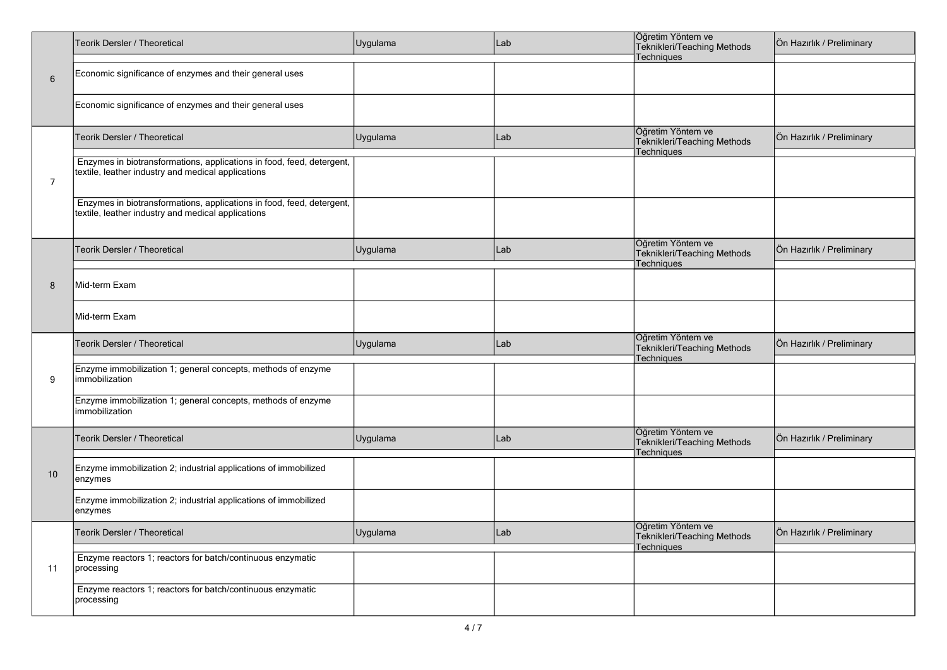|                | Teorik Dersler / Theoretical                                                                                                | Uygulama | Lab | Öğretim Yöntem ve<br>Teknikleri/Teaching Methods                      | Ön Hazırlık / Preliminary |
|----------------|-----------------------------------------------------------------------------------------------------------------------------|----------|-----|-----------------------------------------------------------------------|---------------------------|
|                |                                                                                                                             |          |     | <b>Techniques</b>                                                     |                           |
| 6              | Economic significance of enzymes and their general uses                                                                     |          |     |                                                                       |                           |
|                | Economic significance of enzymes and their general uses                                                                     |          |     |                                                                       |                           |
|                | Teorik Dersler / Theoretical                                                                                                | Uygulama | Lab | Öğretim Yöntem ve<br>Teknikleri/Teaching Methods<br>Techniques        | Ön Hazırlık / Preliminary |
| $\overline{7}$ | Enzymes in biotransformations, applications in food, feed, detergent,<br>textile, leather industry and medical applications |          |     |                                                                       |                           |
|                | Enzymes in biotransformations, applications in food, feed, detergent,<br>textile, leather industry and medical applications |          |     |                                                                       |                           |
|                | Teorik Dersler / Theoretical                                                                                                | Uygulama | Lab | Öğretim Yöntem ve<br>Teknikleri/Teaching Methods<br><b>Techniques</b> | Ön Hazırlık / Preliminary |
| 8              | Mid-term Exam                                                                                                               |          |     |                                                                       |                           |
|                | Mid-term Exam                                                                                                               |          |     |                                                                       |                           |
|                | Teorik Dersler / Theoretical                                                                                                | Uygulama | Lab | Öğretim Yöntem ve<br>Teknikleri/Teaching Methods<br>Techniques        | Ön Hazırlık / Preliminary |
| 9              | Enzyme immobilization 1; general concepts, methods of enzyme<br>immobilization                                              |          |     |                                                                       |                           |
|                | Enzyme immobilization 1; general concepts, methods of enzyme<br>immobilization                                              |          |     |                                                                       |                           |
|                | Teorik Dersler / Theoretical                                                                                                | Uygulama | Lab | Öğretim Yöntem ve<br>Teknikleri/Teaching Methods<br><b>Techniques</b> | Ön Hazırlık / Preliminary |
| 10             | Enzyme immobilization 2; industrial applications of immobilized<br>enzymes                                                  |          |     |                                                                       |                           |
|                | Enzyme immobilization 2; industrial applications of immobilized<br>enzymes                                                  |          |     |                                                                       |                           |
|                | Teorik Dersler / Theoretical                                                                                                | Uygulama | Lab | Öğretim Yöntem ve<br>Teknikleri/Teaching Methods<br><b>Techniques</b> | Ön Hazırlık / Preliminary |
| 11             | Enzyme reactors 1; reactors for batch/continuous enzymatic<br>processing                                                    |          |     |                                                                       |                           |
|                | Enzyme reactors 1; reactors for batch/continuous enzymatic<br>processing                                                    |          |     |                                                                       |                           |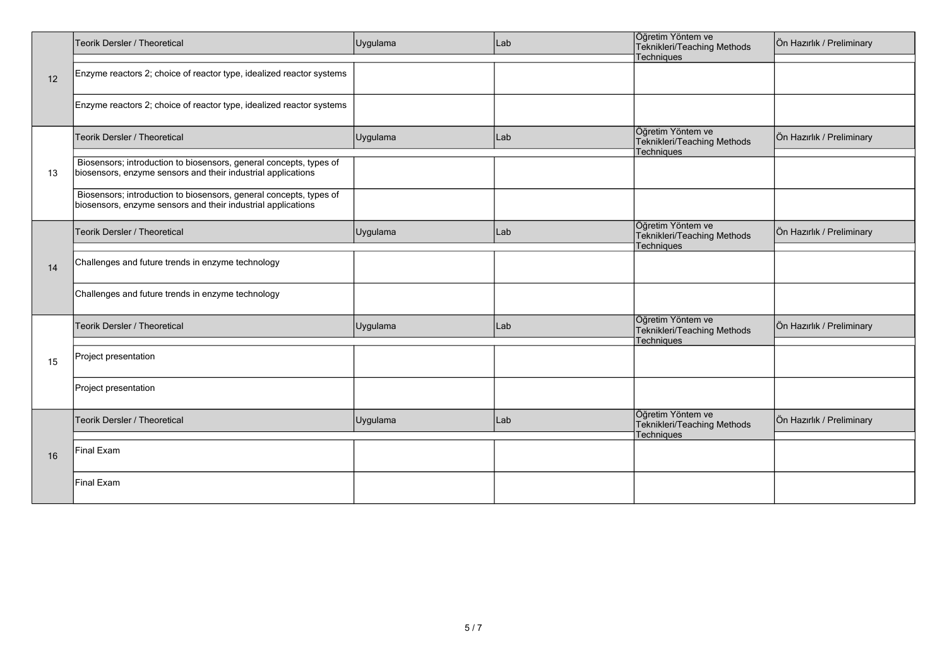|    | Teorik Dersler / Theoretical                                                                                                       | Uygulama | Lab | Öğretim Yöntem ve<br>Teknikleri/Teaching Methods                      | Ön Hazırlık / Preliminary |
|----|------------------------------------------------------------------------------------------------------------------------------------|----------|-----|-----------------------------------------------------------------------|---------------------------|
|    |                                                                                                                                    |          |     | Techniques                                                            |                           |
| 12 | Enzyme reactors 2; choice of reactor type, idealized reactor systems                                                               |          |     |                                                                       |                           |
|    | Enzyme reactors 2; choice of reactor type, idealized reactor systems                                                               |          |     |                                                                       |                           |
|    | Teorik Dersler / Theoretical                                                                                                       | Uygulama | Lab | Öğretim Yöntem ve<br>Teknikleri/Teaching Methods<br><b>Techniques</b> | Ön Hazırlık / Preliminary |
| 13 | Biosensors; introduction to biosensors, general concepts, types of<br>biosensors, enzyme sensors and their industrial applications |          |     |                                                                       |                           |
|    | Biosensors; introduction to biosensors, general concepts, types of<br>biosensors, enzyme sensors and their industrial applications |          |     |                                                                       |                           |
|    | Teorik Dersler / Theoretical                                                                                                       | Uygulama | Lab | Öğretim Yöntem ve<br>Teknikleri/Teaching Methods<br>Techniques        | Ön Hazırlık / Preliminary |
| 14 | Challenges and future trends in enzyme technology                                                                                  |          |     |                                                                       |                           |
|    | Challenges and future trends in enzyme technology                                                                                  |          |     |                                                                       |                           |
|    | Teorik Dersler / Theoretical                                                                                                       | Uygulama | Lab | Öğretim Yöntem ve<br>Teknikleri/Teaching Methods<br>Techniques        | Ön Hazırlık / Preliminary |
| 15 | Project presentation                                                                                                               |          |     |                                                                       |                           |
|    | Project presentation                                                                                                               |          |     |                                                                       |                           |
|    | Teorik Dersler / Theoretical                                                                                                       | Uygulama | Lab | Öğretim Yöntem ve<br>Teknikleri/Teaching Methods<br><b>Techniques</b> | Ön Hazırlık / Preliminary |
| 16 | <b>Final Exam</b>                                                                                                                  |          |     |                                                                       |                           |
|    | <b>Final Exam</b>                                                                                                                  |          |     |                                                                       |                           |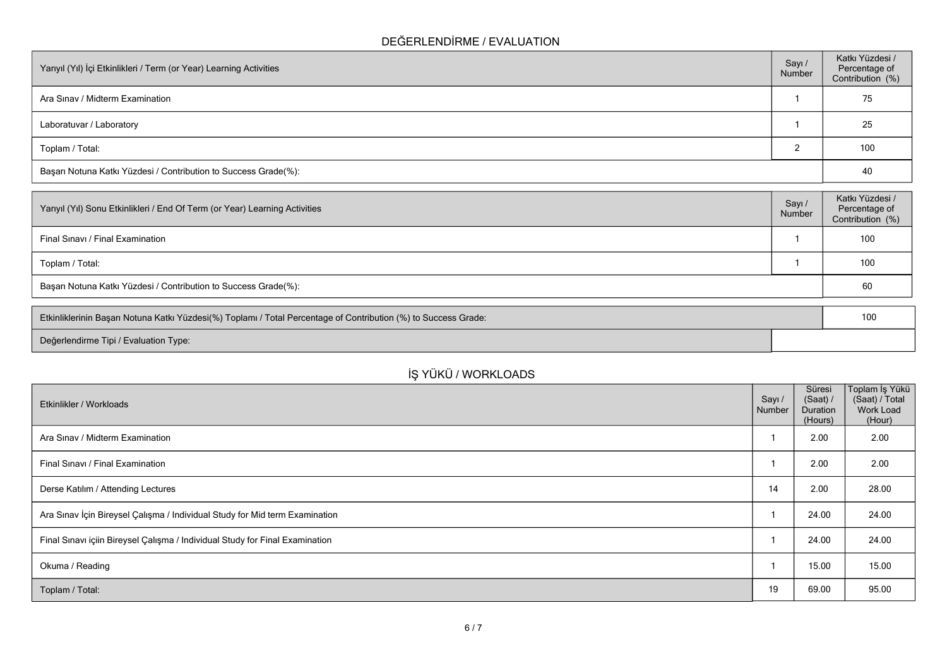## **DEĞERLENDİRME / EVALUATION**

| Yarıyıl (Yıl) İçi Etkinlikleri / Term (or Year) Learning Activities | Sayı/<br>Number | Katkı Yüzdesi /<br>Percentage of<br>Contribution (%) |
|---------------------------------------------------------------------|-----------------|------------------------------------------------------|
| Ara Sinav / Midterm Examination                                     |                 | 75                                                   |
| Laboratuvar / Laboratory                                            |                 | 25                                                   |
| Toplam / Total:                                                     |                 | 100                                                  |
| Başarı Notuna Katkı Yüzdesi / Contribution to Success Grade(%):     |                 | 40                                                   |

| Yarıyıl (Yıl) Sonu Etkinlikleri / End Of Term (or Year) Learning Activities | Sayı<br>Number | Katkı Yüzdesi /<br>Percentage of<br>Contribution (%) |
|-----------------------------------------------------------------------------|----------------|------------------------------------------------------|
| Final Sinavi / Final Examination                                            |                | 100                                                  |
| Toplam / Total:                                                             |                | 100                                                  |
| Başarı Notuna Katkı Yüzdesi / Contribution to Success Grade(%):             |                | 60                                                   |

| Etkinliklerinin Başarı Notuna Katkı Yüzdesi(%) Toplamı / Total Percentage of Contribution (%) to Success Grade: | 100 |
|-----------------------------------------------------------------------------------------------------------------|-----|
| Değerlendirme Tipi / Evaluation Type:                                                                           |     |

| Etkinlikler / Workloads                                                     | Sayı/<br>Number | Süresi<br>(Saat)<br>Duration<br>(Hours) | Toplam İş<br>(Saat) / T<br>Work Lo<br>(Hour |
|-----------------------------------------------------------------------------|-----------------|-----------------------------------------|---------------------------------------------|
| Ara Sinav / Midterm Examination                                             |                 | 2.00                                    | 2.00                                        |
| Final Sinavi / Final Examination                                            |                 | 2.00                                    | 2.00                                        |
| Derse Katılım / Attending Lectures                                          | 14              | 2.00                                    | 28.00                                       |
| Ara Sınav İçin Bireysel Çalışma / Individual Study for Mid term Examination |                 | 24.00                                   | 24.00                                       |

## **İŞ YÜKÜ / WORKLOADS**

**Toplam İş Yükü (Saat) / Total Work Load (Hour)**

Final Sınavı içiin Bireysel Çalışma / Individual Study for Final Examination 24.00 24.00 24.00 24.00 24.00 24.00

Okuma / Reading 1 15.00  $\,$  15.00  $\,$  15.00  $\,$  15.00 15.00 15.00 15.00 15.00 15.00 15.00 15.00 15.00 15.00 15.00 15.00 15.00 15.00 15.00 15.00 15.00 15.00 15.00 15.00 15.00 15.00 15.00 15.00 15.00 15.00 15.00 15.00 15.

**Toplam / Total:** 19 69.00 95.00